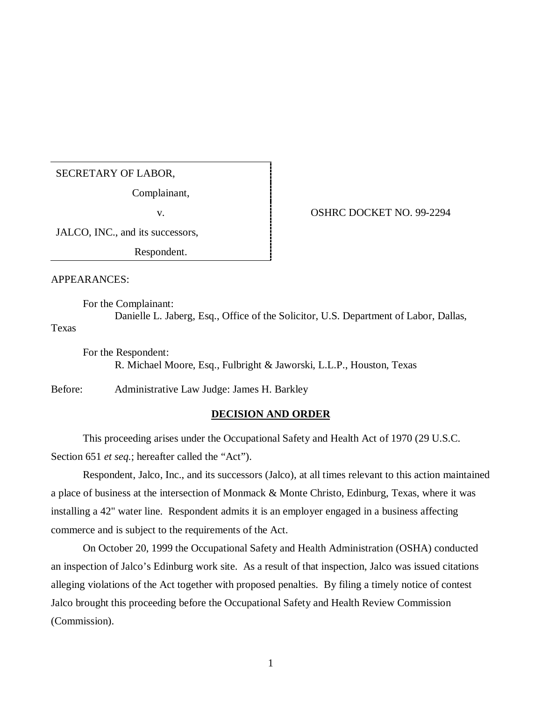## SECRETARY OF LABOR,

Complainant,

JALCO, INC., and its successors,

Respondent.

APPEARANCES:

For the Complainant:

Danielle L. Jaberg, Esq., Office of the Solicitor, U.S. Department of Labor, Dallas, Texas

For the Respondent: R. Michael Moore, Esq., Fulbright & Jaworski, L.L.P., Houston, Texas

Before: Administrative Law Judge: James H. Barkley

## **DECISION AND ORDER**

This proceeding arises under the Occupational Safety and Health Act of 1970 (29 U.S.C. Section 651 *et seq.*; hereafter called the "Act").

Respondent, Jalco, Inc., and its successors (Jalco), at all times relevant to this action maintained a place of business at the intersection of Monmack & Monte Christo, Edinburg, Texas, where it was installing a 42" water line. Respondent admits it is an employer engaged in a business affecting commerce and is subject to the requirements of the Act.

On October 20, 1999 the Occupational Safety and Health Administration (OSHA) conducted an inspection of Jalco's Edinburg work site. As a result of that inspection, Jalco was issued citations alleging violations of the Act together with proposed penalties. By filing a timely notice of contest Jalco brought this proceeding before the Occupational Safety and Health Review Commission (Commission).

v. OSHRC DOCKET NO. 99-2294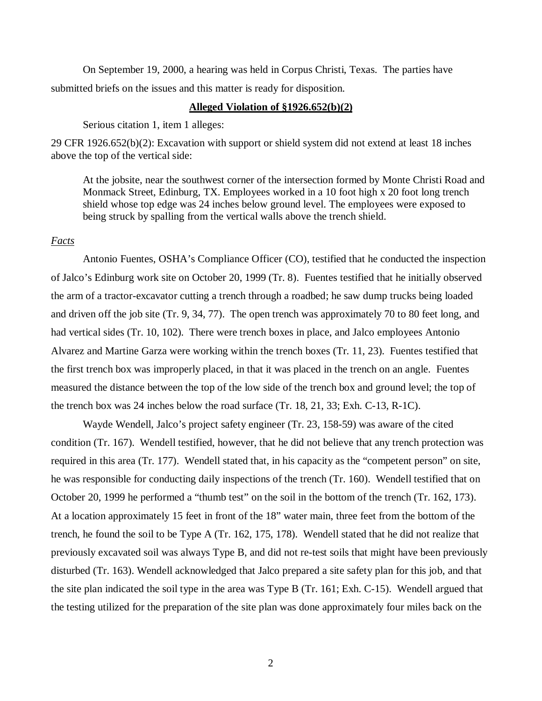On September 19, 2000, a hearing was held in Corpus Christi, Texas. The parties have submitted briefs on the issues and this matter is ready for disposition.

#### **Alleged Violation of §1926.652(b)(2)**

Serious citation 1, item 1 alleges:

29 CFR 1926.652(b)(2): Excavation with support or shield system did not extend at least 18 inches above the top of the vertical side:

At the jobsite, near the southwest corner of the intersection formed by Monte Christi Road and Monmack Street, Edinburg, TX. Employees worked in a 10 foot high x 20 foot long trench shield whose top edge was 24 inches below ground level. The employees were exposed to being struck by spalling from the vertical walls above the trench shield.

#### *Facts*

Antonio Fuentes, OSHA's Compliance Officer (CO), testified that he conducted the inspection of Jalco's Edinburg work site on October 20, 1999 (Tr. 8). Fuentes testified that he initially observed the arm of a tractor-excavator cutting a trench through a roadbed; he saw dump trucks being loaded and driven off the job site (Tr. 9, 34, 77). The open trench was approximately 70 to 80 feet long, and had vertical sides (Tr. 10, 102). There were trench boxes in place, and Jalco employees Antonio Alvarez and Martine Garza were working within the trench boxes (Tr. 11, 23). Fuentes testified that the first trench box was improperly placed, in that it was placed in the trench on an angle. Fuentes measured the distance between the top of the low side of the trench box and ground level; the top of the trench box was 24 inches below the road surface (Tr. 18, 21, 33; Exh. C-13, R-1C).

Wayde Wendell, Jalco's project safety engineer (Tr. 23, 158-59) was aware of the cited condition (Tr. 167). Wendell testified, however, that he did not believe that any trench protection was required in this area (Tr. 177). Wendell stated that, in his capacity as the "competent person" on site, he was responsible for conducting daily inspections of the trench (Tr. 160). Wendell testified that on October 20, 1999 he performed a "thumb test" on the soil in the bottom of the trench (Tr. 162, 173). At a location approximately 15 feet in front of the 18" water main, three feet from the bottom of the trench, he found the soil to be Type A (Tr. 162, 175, 178). Wendell stated that he did not realize that previously excavated soil was always Type B, and did not re-test soils that might have been previously disturbed (Tr. 163). Wendell acknowledged that Jalco prepared a site safety plan for this job, and that the site plan indicated the soil type in the area was Type B (Tr. 161; Exh. C-15). Wendell argued that the testing utilized for the preparation of the site plan was done approximately four miles back on the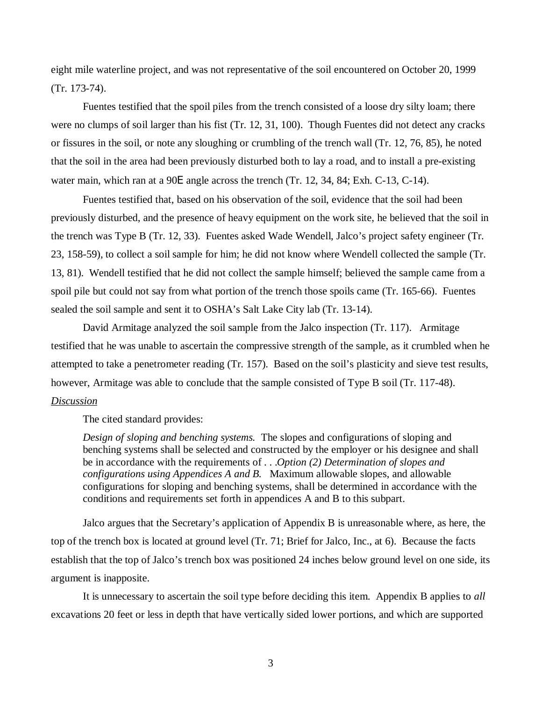eight mile waterline project, and was not representative of the soil encountered on October 20, 1999 (Tr. 173-74).

Fuentes testified that the spoil piles from the trench consisted of a loose dry silty loam; there were no clumps of soil larger than his fist (Tr. 12, 31, 100). Though Fuentes did not detect any cracks or fissures in the soil, or note any sloughing or crumbling of the trench wall (Tr. 12, 76, 85), he noted that the soil in the area had been previously disturbed both to lay a road, and to install a pre-existing water main, which ran at a 90E angle across the trench (Tr. 12, 34, 84; Exh. C-13, C-14).

Fuentes testified that, based on his observation of the soil, evidence that the soil had been previously disturbed, and the presence of heavy equipment on the work site, he believed that the soil in the trench was Type B (Tr. 12, 33). Fuentes asked Wade Wendell, Jalco's project safety engineer (Tr. 23, 158-59), to collect a soil sample for him; he did not know where Wendell collected the sample (Tr. 13, 81). Wendell testified that he did not collect the sample himself; believed the sample came from a spoil pile but could not say from what portion of the trench those spoils came (Tr. 165-66). Fuentes sealed the soil sample and sent it to OSHA's Salt Lake City lab (Tr. 13-14).

David Armitage analyzed the soil sample from the Jalco inspection (Tr. 117). Armitage testified that he was unable to ascertain the compressive strength of the sample, as it crumbled when he attempted to take a penetrometer reading (Tr. 157). Based on the soil's plasticity and sieve test results, however, Armitage was able to conclude that the sample consisted of Type B soil (Tr. 117-48). *Discussion*

The cited standard provides:

*Design of sloping and benching systems.* The slopes and configurations of sloping and benching systems shall be selected and constructed by the employer or his designee and shall be in accordance with the requirements of . . .*Option (2) Determination of slopes and configurations using Appendices A and B.* Maximum allowable slopes, and allowable configurations for sloping and benching systems, shall be determined in accordance with the conditions and requirements set forth in appendices A and B to this subpart.

Jalco argues that the Secretary's application of Appendix B is unreasonable where, as here, the top of the trench box is located at ground level (Tr. 71; Brief for Jalco, Inc., at 6). Because the facts establish that the top of Jalco's trench box was positioned 24 inches below ground level on one side, its argument is inapposite.

It is unnecessary to ascertain the soil type before deciding this item. Appendix B applies to *all* excavations 20 feet or less in depth that have vertically sided lower portions, and which are supported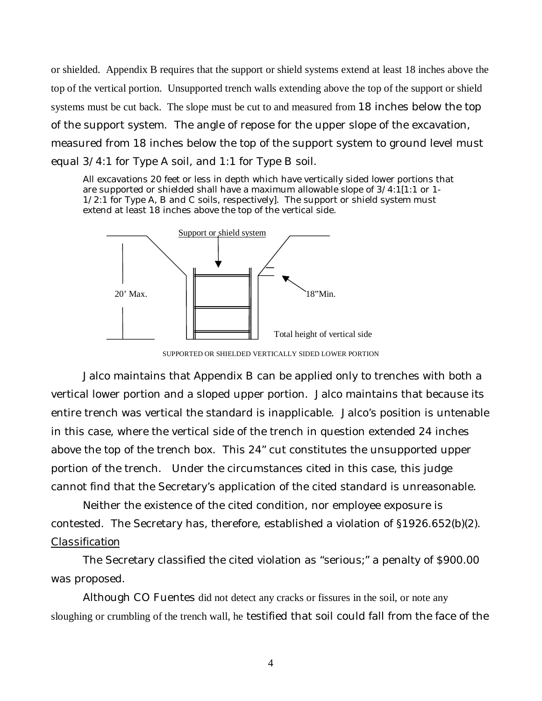or shielded. Appendix B requires that the support or shield systems extend at least 18 inches above the top of the vertical portion. Unsupported trench walls extending above the top of the support or shield systems must be cut back. The slope must be cut to and measured from 18 inches below the top of the support system. The angle of repose for the upper slope of the excavation, measured from 18 inches below the top of the support system to ground level must equal 3/4:1 for Type A soil, and 1:1 for Type B soil.

All excavations 20 feet or less in depth which have vertically sided lower portions that are supported or shielded shall have a maximum allowable slope of  $3/4:1[1:1]$  or 1-1/2:1 for Type A, B and C soils, respectively]. The support or shield system must extend at least 18 inches above the top of the vertical side.



SUPPORTED OR SHIELDED VERTICALLY SIDED LOWER PORTION

Jalco maintains that Appendix B can be applied only to trenches with both a vertical lower portion and a sloped upper portion. Jalco maintains that because its entire trench was vertical the standard is inapplicable. Jalco's position is untenable in this case, where the vertical side of the trench in question extended 24 inches above the top of the trench box. This 24" cut constitutes the unsupported upper portion of the trench. Under the circumstances cited in this case, this judge cannot find that the Secretary's application of the cited standard is unreasonable.

Neither the existence of the cited condition, nor employee exposure is contested. The Secretary has, therefore, established a violation of §1926.652(b)(2). *Classification*

The Secretary classified the cited violation as "serious;" a penalty of \$900.00 was proposed.

Although CO Fuentes did not detect any cracks or fissures in the soil, or note any sloughing or crumbling of the trench wall, he testified that soil could fall from the face of the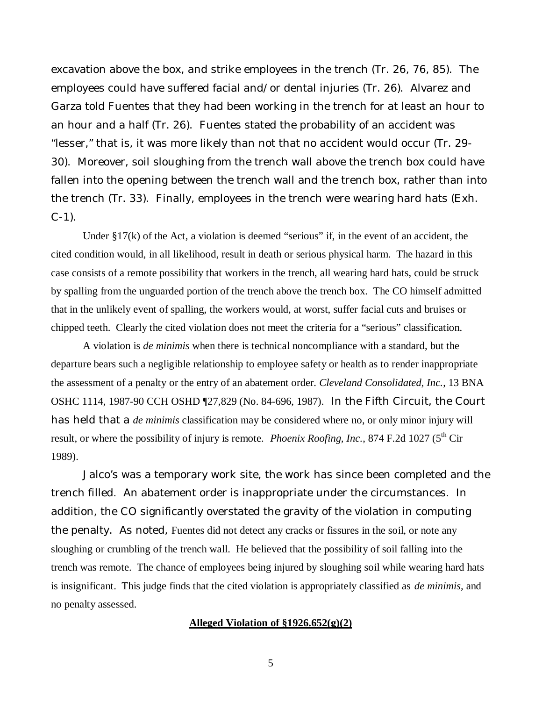excavation above the box, and strike employees in the trench (Tr. 26, 76, 85). The employees could have suffered facial and/or dental injuries (Tr. 26). Alvarez and Garza told Fuentes that they had been working in the trench for at least an hour to an hour and a half (Tr. 26). Fuentes stated the probability of an accident was "lesser," that is, it was more likely than not that no accident would occur (Tr. 29- 30). Moreover, soil sloughing from the trench wall above the trench box could have fallen into the opening between the trench wall and the trench box, rather than into the trench (Tr. 33). Finally, employees in the trench were wearing hard hats (Exh.  $C-1$ ).

Under  $\S 17(k)$  of the Act, a violation is deemed "serious" if, in the event of an accident, the cited condition would, in all likelihood, result in death or serious physical harm. The hazard in this case consists of a remote possibility that workers in the trench, all wearing hard hats, could be struck by spalling from the unguarded portion of the trench above the trench box. The CO himself admitted that in the unlikely event of spalling, the workers would, at worst, suffer facial cuts and bruises or chipped teeth. Clearly the cited violation does not meet the criteria for a "serious" classification.

A violation is *de minimis* when there is technical noncompliance with a standard, but the departure bears such a negligible relationship to employee safety or health as to render inappropriate the assessment of a penalty or the entry of an abatement order. *Cleveland Consolidated, Inc.*, 13 BNA OSHC 1114, 1987-90 CCH OSHD ¶27,829 (No. 84-696, 1987). In the Fifth Circuit, the Court has held that a *de minimis* classification may be considered where no, or only minor injury will result, or where the possibility of injury is remote. *Phoenix Roofing, Inc.*, 874 F.2d 1027 (5<sup>th</sup> Cir 1989).

Jalco's was a temporary work site, the work has since been completed and the trench filled. An abatement order is inappropriate under the circumstances. In addition, the CO significantly overstated the gravity of the violation in computing the penalty. As noted, Fuentes did not detect any cracks or fissures in the soil, or note any sloughing or crumbling of the trench wall. He believed that the possibility of soil falling into the trench was remote. The chance of employees being injured by sloughing soil while wearing hard hats is insignificant. This judge finds that the cited violation is appropriately classified as *de minimis,* and no penalty assessed.

## **Alleged Violation of §1926.652(g)(2)**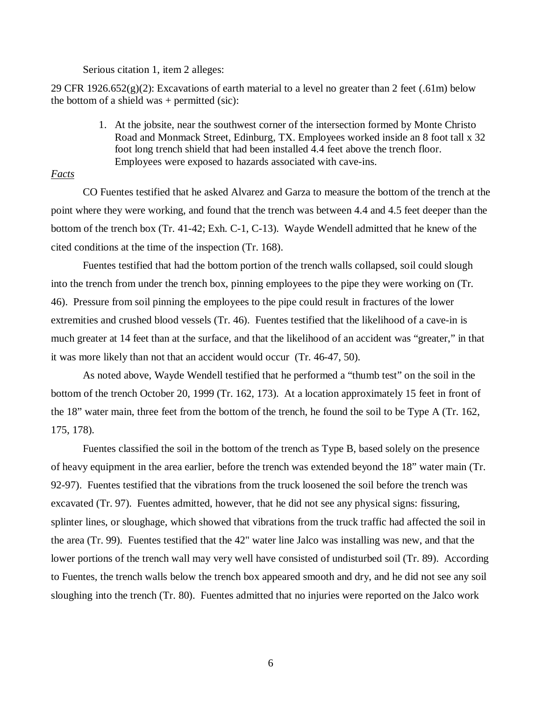#### Serious citation 1, item 2 alleges:

29 CFR 1926.652(g)(2): Excavations of earth material to a level no greater than 2 feet (.61m) below the bottom of a shield was  $+$  permitted (sic):

> 1. At the jobsite, near the southwest corner of the intersection formed by Monte Christo Road and Monmack Street, Edinburg, TX. Employees worked inside an 8 foot tall x 32 foot long trench shield that had been installed 4.4 feet above the trench floor. Employees were exposed to hazards associated with cave-ins.

# *Facts*

CO Fuentes testified that he asked Alvarez and Garza to measure the bottom of the trench at the point where they were working, and found that the trench was between 4.4 and 4.5 feet deeper than the bottom of the trench box (Tr. 41-42; Exh. C-1, C-13). Wayde Wendell admitted that he knew of the cited conditions at the time of the inspection (Tr. 168).

Fuentes testified that had the bottom portion of the trench walls collapsed, soil could slough into the trench from under the trench box, pinning employees to the pipe they were working on (Tr. 46). Pressure from soil pinning the employees to the pipe could result in fractures of the lower extremities and crushed blood vessels (Tr. 46). Fuentes testified that the likelihood of a cave-in is much greater at 14 feet than at the surface, and that the likelihood of an accident was "greater," in that it was more likely than not that an accident would occur (Tr. 46-47, 50).

As noted above, Wayde Wendell testified that he performed a "thumb test" on the soil in the bottom of the trench October 20, 1999 (Tr. 162, 173). At a location approximately 15 feet in front of the 18" water main, three feet from the bottom of the trench, he found the soil to be Type A (Tr. 162, 175, 178).

Fuentes classified the soil in the bottom of the trench as Type B, based solely on the presence of heavy equipment in the area earlier, before the trench was extended beyond the 18" water main (Tr. 92-97). Fuentes testified that the vibrations from the truck loosened the soil before the trench was excavated (Tr. 97). Fuentes admitted, however, that he did not see any physical signs: fissuring, splinter lines, or sloughage, which showed that vibrations from the truck traffic had affected the soil in the area (Tr. 99). Fuentes testified that the 42" water line Jalco was installing was new, and that the lower portions of the trench wall may very well have consisted of undisturbed soil (Tr. 89). According to Fuentes, the trench walls below the trench box appeared smooth and dry, and he did not see any soil sloughing into the trench (Tr. 80). Fuentes admitted that no injuries were reported on the Jalco work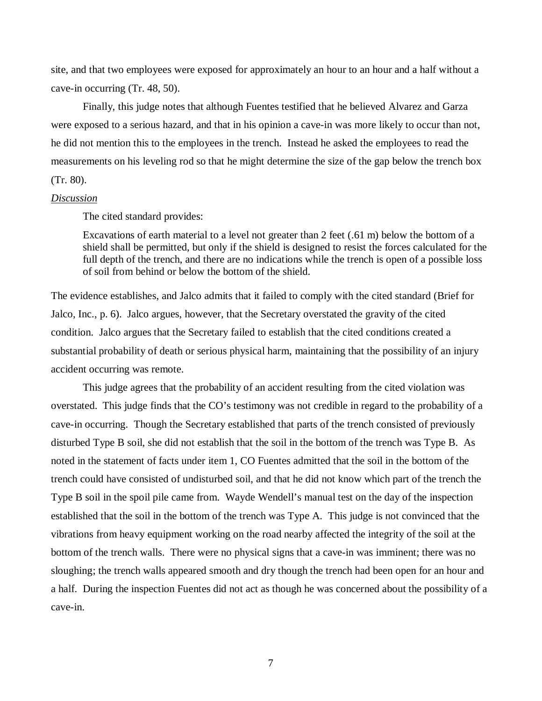site, and that two employees were exposed for approximately an hour to an hour and a half without a cave-in occurring (Tr. 48, 50).

Finally, this judge notes that although Fuentes testified that he believed Alvarez and Garza were exposed to a serious hazard, and that in his opinion a cave-in was more likely to occur than not, he did not mention this to the employees in the trench. Instead he asked the employees to read the measurements on his leveling rod so that he might determine the size of the gap below the trench box (Tr. 80).

# *Discussion*

The cited standard provides:

Excavations of earth material to a level not greater than 2 feet (.61 m) below the bottom of a shield shall be permitted, but only if the shield is designed to resist the forces calculated for the full depth of the trench, and there are no indications while the trench is open of a possible loss of soil from behind or below the bottom of the shield.

The evidence establishes, and Jalco admits that it failed to comply with the cited standard (Brief for Jalco, Inc., p. 6). Jalco argues, however, that the Secretary overstated the gravity of the cited condition. Jalco argues that the Secretary failed to establish that the cited conditions created a substantial probability of death or serious physical harm, maintaining that the possibility of an injury accident occurring was remote.

This judge agrees that the probability of an accident resulting from the cited violation was overstated. This judge finds that the CO's testimony was not credible in regard to the probability of a cave-in occurring. Though the Secretary established that parts of the trench consisted of previously disturbed Type B soil, she did not establish that the soil in the bottom of the trench was Type B. As noted in the statement of facts under item 1, CO Fuentes admitted that the soil in the bottom of the trench could have consisted of undisturbed soil, and that he did not know which part of the trench the Type B soil in the spoil pile came from. Wayde Wendell's manual test on the day of the inspection established that the soil in the bottom of the trench was Type A. This judge is not convinced that the vibrations from heavy equipment working on the road nearby affected the integrity of the soil at the bottom of the trench walls. There were no physical signs that a cave-in was imminent; there was no sloughing; the trench walls appeared smooth and dry though the trench had been open for an hour and a half. During the inspection Fuentes did not act as though he was concerned about the possibility of a cave-in.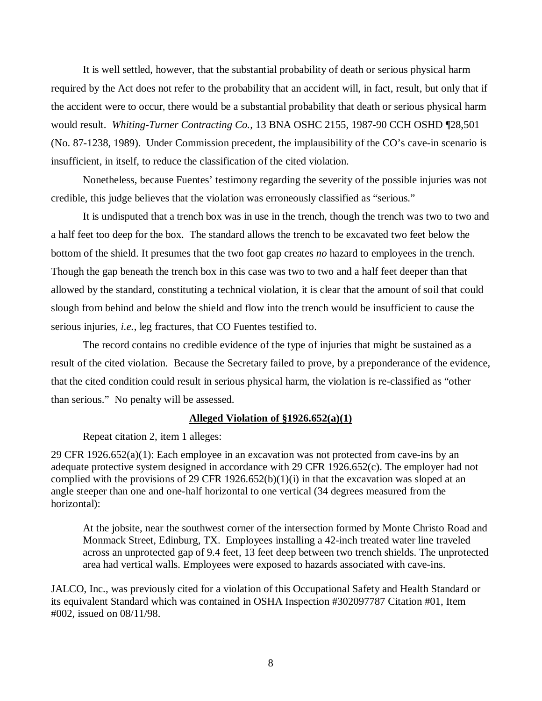It is well settled, however, that the substantial probability of death or serious physical harm required by the Act does not refer to the probability that an accident will, in fact, result, but only that if the accident were to occur, there would be a substantial probability that death or serious physical harm would result. *Whiting-Turner Contracting Co.,* 13 BNA OSHC 2155, 1987-90 CCH OSHD ¶28,501 (No. 87-1238, 1989). Under Commission precedent, the implausibility of the CO's cave-in scenario is insufficient, in itself, to reduce the classification of the cited violation.

Nonetheless, because Fuentes' testimony regarding the severity of the possible injuries was not credible, this judge believes that the violation was erroneously classified as "serious."

It is undisputed that a trench box was in use in the trench, though the trench was two to two and a half feet too deep for the box. The standard allows the trench to be excavated two feet below the bottom of the shield. It presumes that the two foot gap creates *no* hazard to employees in the trench. Though the gap beneath the trench box in this case was two to two and a half feet deeper than that allowed by the standard, constituting a technical violation, it is clear that the amount of soil that could slough from behind and below the shield and flow into the trench would be insufficient to cause the serious injuries, *i.e.*, leg fractures, that CO Fuentes testified to.

The record contains no credible evidence of the type of injuries that might be sustained as a result of the cited violation. Because the Secretary failed to prove, by a preponderance of the evidence, that the cited condition could result in serious physical harm, the violation is re-classified as "other than serious." No penalty will be assessed.

## **Alleged Violation of §1926.652(a)(1)**

Repeat citation 2, item 1 alleges:

29 CFR 1926.652(a)(1): Each employee in an excavation was not protected from cave-ins by an adequate protective system designed in accordance with 29 CFR 1926.652(c). The employer had not complied with the provisions of 29 CFR 1926.652(b)(1)(i) in that the excavation was sloped at an angle steeper than one and one-half horizontal to one vertical (34 degrees measured from the horizontal):

At the jobsite, near the southwest corner of the intersection formed by Monte Christo Road and Monmack Street, Edinburg, TX. Employees installing a 42-inch treated water line traveled across an unprotected gap of 9.4 feet, 13 feet deep between two trench shields. The unprotected area had vertical walls. Employees were exposed to hazards associated with cave-ins.

JALCO, Inc., was previously cited for a violation of this Occupational Safety and Health Standard or its equivalent Standard which was contained in OSHA Inspection #302097787 Citation #01, Item #002, issued on 08/11/98.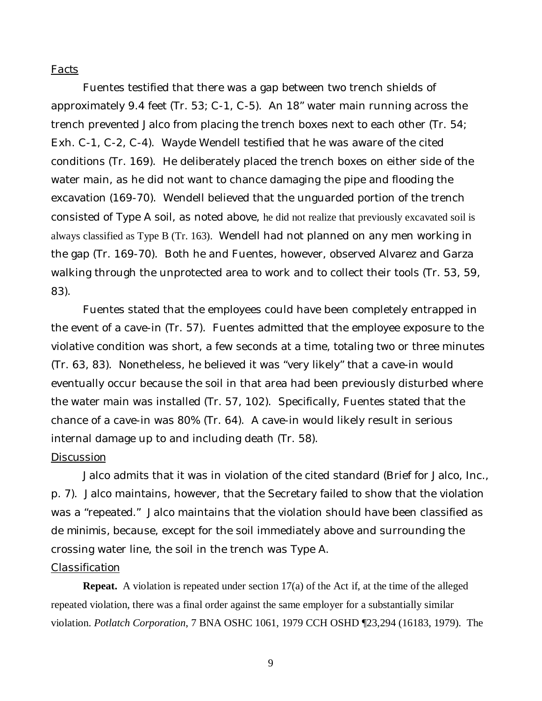# *Facts*

Fuentes testified that there was a gap between two trench shields of approximately 9.4 feet (Tr. 53; C-1, C-5). An 18" water main running across the trench prevented Jalco from placing the trench boxes next to each other (Tr. 54; Exh. C-1, C-2, C-4). Wayde Wendell testified that he was aware of the cited conditions (Tr. 169). He deliberately placed the trench boxes on either side of the water main, as he did not want to chance damaging the pipe and flooding the excavation (169-70). Wendell believed that the unguarded portion of the trench consisted of Type A soil, as noted above, he did not realize that previously excavated soil is always classified as Type B (Tr. 163). Wendell had not planned on any men working in the gap (Tr. 169-70). Both he and Fuentes, however, observed Alvarez and Garza walking through the unprotected area to work and to collect their tools (Tr. 53, 59, 83).

Fuentes stated that the employees could have been completely entrapped in the event of a cave-in (Tr. 57). Fuentes admitted that the employee exposure to the violative condition was short, a few seconds at a time, totaling two or three minutes (Tr. 63, 83). Nonetheless, he believed it was "very likely" that a cave-in would eventually occur because the soil in that area had been previously disturbed where the water main was installed (Tr. 57, 102). Specifically, Fuentes stated that the chance of a cave-in was 80% (Tr. 64). A cave-in would likely result in serious internal damage up to and including death (Tr. 58).

## *Discussion*

Jalco admits that it was in violation of the cited standard (Brief for Jalco, Inc., p. 7). Jalco maintains, however, that the Secretary failed to show that the violation was a "repeated." Jalco maintains that the violation should have been classified as *de minimis,* because, except for the soil immediately above and surrounding the crossing water line, the soil in the trench was Type A.

# *Classification*

**Repeat.** A violation is repeated under section 17(a) of the Act if, at the time of the alleged repeated violation, there was a final order against the same employer for a substantially similar violation. *Potlatch Corporation*, 7 BNA OSHC 1061, 1979 CCH OSHD ¶23,294 (16183, 1979). The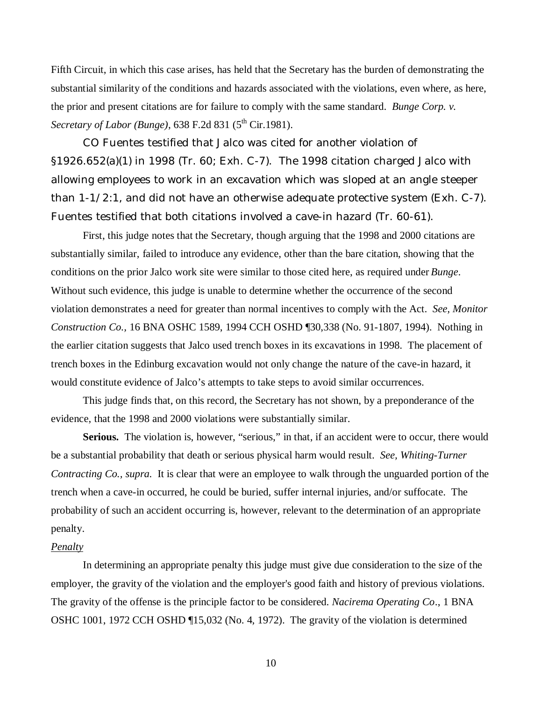Fifth Circuit, in which this case arises, has held that the Secretary has the burden of demonstrating the substantial similarity of the conditions and hazards associated with the violations, even where, as here, the prior and present citations are for failure to comply with the same standard. *Bunge Corp. v. Secretary of Labor (Bunge)*, 638 F.2d 831 (5<sup>th</sup> Cir.1981).

CO Fuentes testified that Jalco was cited for another violation of §1926.652(a)(1) in 1998 (Tr. 60; Exh. C-7). The 1998 citation charged Jalco with allowing employees to work in an excavation which was sloped at an angle steeper than 1-1/2:1, and did not have an otherwise adequate protective system (Exh. C-7). Fuentes testified that both citations involved a cave-in hazard (Tr. 60-61).

First, this judge notes that the Secretary, though arguing that the 1998 and 2000 citations are substantially similar, failed to introduce any evidence, other than the bare citation, showing that the conditions on the prior Jalco work site were similar to those cited here, as required under *Bunge*. Without such evidence, this judge is unable to determine whether the occurrence of the second violation demonstrates a need for greater than normal incentives to comply with the Act. *See, Monitor Construction Co.,* 16 BNA OSHC 1589, 1994 CCH OSHD ¶30,338 (No. 91-1807, 1994). Nothing in the earlier citation suggests that Jalco used trench boxes in its excavations in 1998. The placement of trench boxes in the Edinburg excavation would not only change the nature of the cave-in hazard, it would constitute evidence of Jalco's attempts to take steps to avoid similar occurrences.

This judge finds that, on this record, the Secretary has not shown, by a preponderance of the evidence, that the 1998 and 2000 violations were substantially similar.

Serious. The violation is, however, "serious," in that, if an accident were to occur, there would be a substantial probability that death or serious physical harm would result. *See, Whiting-Turner Contracting Co., supra.* It is clear that were an employee to walk through the unguarded portion of the trench when a cave-in occurred, he could be buried, suffer internal injuries, and/or suffocate. The probability of such an accident occurring is, however, relevant to the determination of an appropriate penalty.

#### *Penalty*

In determining an appropriate penalty this judge must give due consideration to the size of the employer, the gravity of the violation and the employer's good faith and history of previous violations. The gravity of the offense is the principle factor to be considered. *Nacirema Operating Co*., 1 BNA OSHC 1001, 1972 CCH OSHD ¶15,032 (No. 4, 1972). The gravity of the violation is determined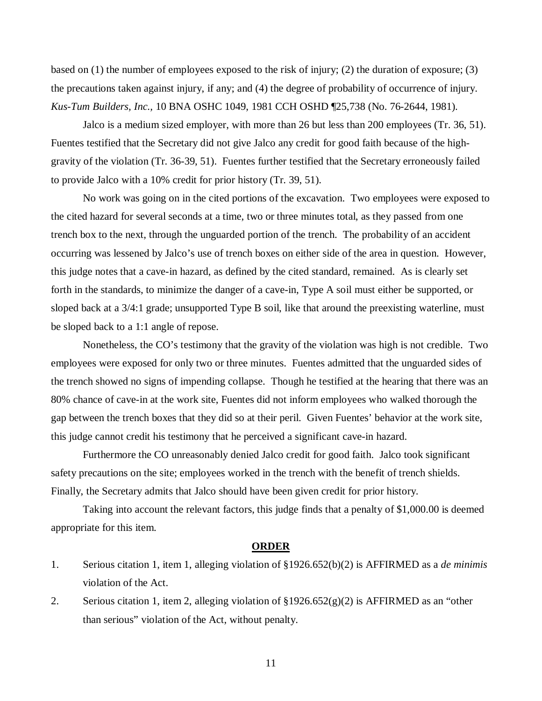based on (1) the number of employees exposed to the risk of injury; (2) the duration of exposure; (3) the precautions taken against injury, if any; and (4) the degree of probability of occurrence of injury. *Kus-Tum Builders, Inc.,* 10 BNA OSHC 1049, 1981 CCH OSHD ¶25,738 (No. 76-2644, 1981).

Jalco is a medium sized employer, with more than 26 but less than 200 employees (Tr. 36, 51). Fuentes testified that the Secretary did not give Jalco any credit for good faith because of the highgravity of the violation (Tr. 36-39, 51). Fuentes further testified that the Secretary erroneously failed to provide Jalco with a 10% credit for prior history (Tr. 39, 51).

No work was going on in the cited portions of the excavation. Two employees were exposed to the cited hazard for several seconds at a time, two or three minutes total, as they passed from one trench box to the next, through the unguarded portion of the trench. The probability of an accident occurring was lessened by Jalco's use of trench boxes on either side of the area in question. However, this judge notes that a cave-in hazard, as defined by the cited standard, remained. As is clearly set forth in the standards, to minimize the danger of a cave-in, Type A soil must either be supported, or sloped back at a 3/4:1 grade; unsupported Type B soil, like that around the preexisting waterline, must be sloped back to a 1:1 angle of repose.

Nonetheless, the CO's testimony that the gravity of the violation was high is not credible. Two employees were exposed for only two or three minutes. Fuentes admitted that the unguarded sides of the trench showed no signs of impending collapse. Though he testified at the hearing that there was an 80% chance of cave-in at the work site, Fuentes did not inform employees who walked thorough the gap between the trench boxes that they did so at their peril. Given Fuentes' behavior at the work site, this judge cannot credit his testimony that he perceived a significant cave-in hazard.

Furthermore the CO unreasonably denied Jalco credit for good faith. Jalco took significant safety precautions on the site; employees worked in the trench with the benefit of trench shields. Finally, the Secretary admits that Jalco should have been given credit for prior history.

Taking into account the relevant factors, this judge finds that a penalty of \$1,000.00 is deemed appropriate for this item.

## **ORDER**

- 1. Serious citation 1, item 1, alleging violation of §1926.652(b)(2) is AFFIRMED as a *de minimis* violation of the Act.
- 2. Serious citation 1, item 2, alleging violation of  $\frac{1}{2}1926.652(g)(2)$  is AFFIRMED as an "other than serious" violation of the Act, without penalty.